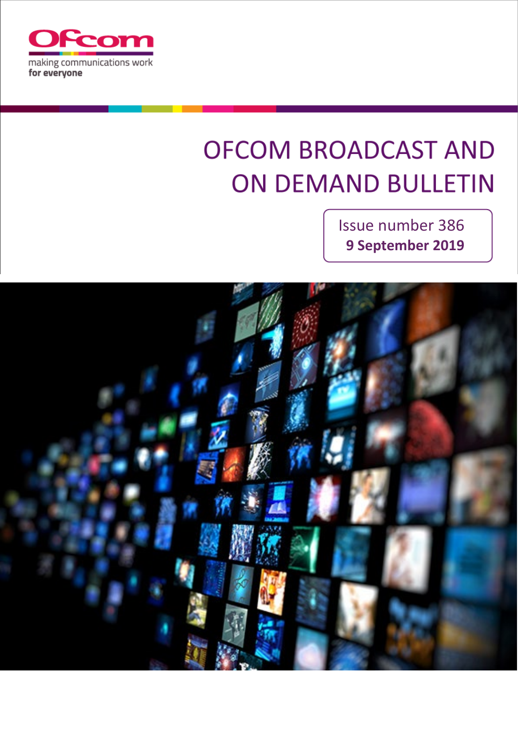

# **OFCOM BROADCAST AND ON DEMAND BULLETIN**

Issue number 386 **9 September 2019**

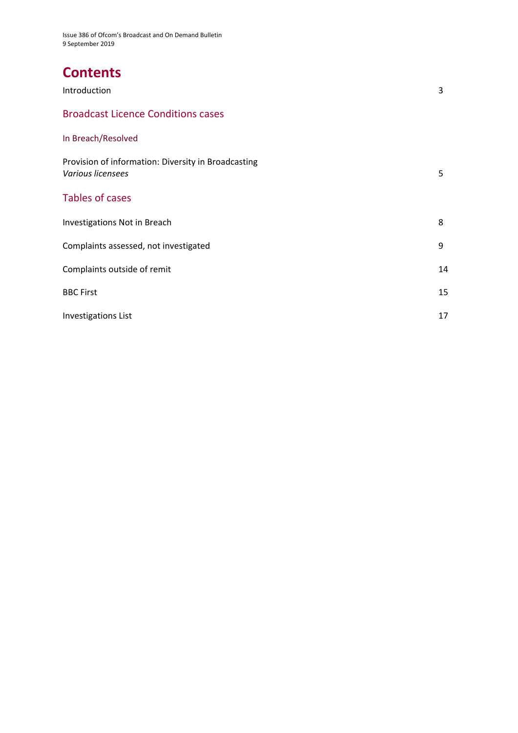Issue 386 of Ofcom's Broadcast and On Demand Bulletin 9 September 2019

# **Contents**

| Introduction                                                             | 3  |
|--------------------------------------------------------------------------|----|
| <b>Broadcast Licence Conditions cases</b>                                |    |
| In Breach/Resolved                                                       |    |
| Provision of information: Diversity in Broadcasting<br>Various licensees | 5  |
| <b>Tables of cases</b>                                                   |    |
| <b>Investigations Not in Breach</b>                                      | 8  |
| Complaints assessed, not investigated                                    | 9  |
| Complaints outside of remit                                              | 14 |
| <b>BBC First</b>                                                         | 15 |
| <b>Investigations List</b>                                               | 17 |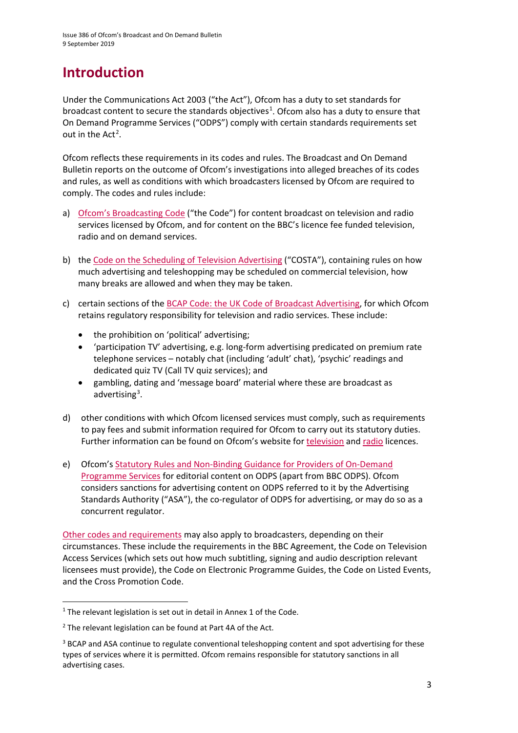# **Introduction**

Under the Communications Act 2003 ("the Act"), Ofcom has a duty to set standards for broadcast content to secure the standards objectives<sup>[1](#page-2-0)</sup>. Ofcom also has a duty to ensure that On Demand Programme Services ("ODPS") comply with certain standards requirements set out in the  $Act^2$  $Act^2$ .

Ofcom reflects these requirements in its codes and rules. The Broadcast and On Demand Bulletin reports on the outcome of Ofcom's investigations into alleged breaches of its codes and rules, as well as conditions with which broadcasters licensed by Ofcom are required to comply. The codes and rules include:

- a) [Ofcom's Broadcasting Code](http://stakeholders.ofcom.org.uk/broadcasting/broadcast-codes/broadcast-code/) ("the Code") for content broadcast on television and radio services licensed by Ofcom, and for content on the BBC's licence fee funded television, radio and on demand services.
- b) the [Code on the Scheduling of Television Advertising](https://www.ofcom.org.uk/__data/assets/pdf_file/0014/32162/costa-april-2016.pdf) ("COSTA"), containing rules on how much advertising and teleshopping may be scheduled on commercial television, how many breaks are allowed and when they may be taken.
- c) certain sections of th[e BCAP Code: the UK Code of Broadcast Advertising,](https://www.asa.org.uk/codes-and-rulings/advertising-codes/broadcast-code.html) for which Ofcom retains regulatory responsibility for television and radio services. These include:
	- the prohibition on 'political' advertising;
	- 'participation TV' advertising, e.g. long-form advertising predicated on premium rate telephone services – notably chat (including 'adult' chat), 'psychic' readings and dedicated quiz TV (Call TV quiz services); and
	- gambling, dating and 'message board' material where these are broadcast as advertising<sup>[3](#page-2-2)</sup>.
- d) other conditions with which Ofcom licensed services must comply, such as requirements to pay fees and submit information required for Ofcom to carry out its statutory duties. Further information can be found on Ofcom's website for [television](http://licensing.ofcom.org.uk/tv-broadcast-licences/) and [radio](http://licensing.ofcom.org.uk/radio-broadcast-licensing/) licences.
- e) Ofcom'[s Statutory Rules and Non-Binding Guidance for Providers of On-Demand](http://stakeholders.ofcom.org.uk/binaries/broadcast/on-demand/rules-guidance/rules_and_guidance.pdf)  [Programme Services](http://stakeholders.ofcom.org.uk/binaries/broadcast/on-demand/rules-guidance/rules_and_guidance.pdf) for editorial content on ODPS (apart from BBC ODPS). Ofcom considers sanctions for advertising content on ODPS referred to it by the Advertising Standards Authority ("ASA"), the co-regulator of ODPS for advertising, or may do so as a concurrent regulator.

[Other codes and requirements](http://stakeholders.ofcom.org.uk/broadcasting/broadcast-codes/) may also apply to broadcasters, depending on their circumstances. These include the requirements in the BBC Agreement, the Code on Television Access Services (which sets out how much subtitling, signing and audio description relevant licensees must provide), the Code on Electronic Programme Guides, the Code on Listed Events, and the Cross Promotion Code.

<span id="page-2-0"></span> $1$  The relevant legislation is set out in detail in Annex 1 of the Code.

<span id="page-2-1"></span> $2$  The relevant legislation can be found at Part 4A of the Act.

<span id="page-2-2"></span><sup>&</sup>lt;sup>3</sup> BCAP and ASA continue to regulate conventional teleshopping content and spot advertising for these types of services where it is permitted. Ofcom remains responsible for statutory sanctions in all advertising cases.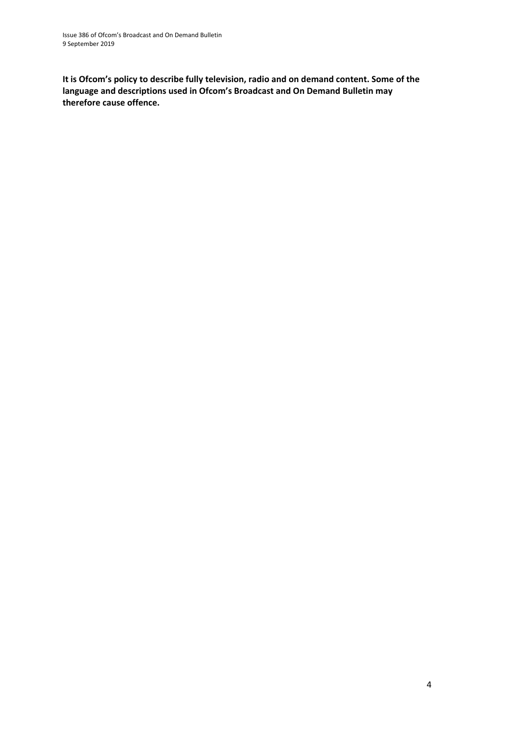**It is Ofcom's policy to describe fully television, radio and on demand content. Some of the language and descriptions used in Ofcom's Broadcast and On Demand Bulletin may therefore cause offence.**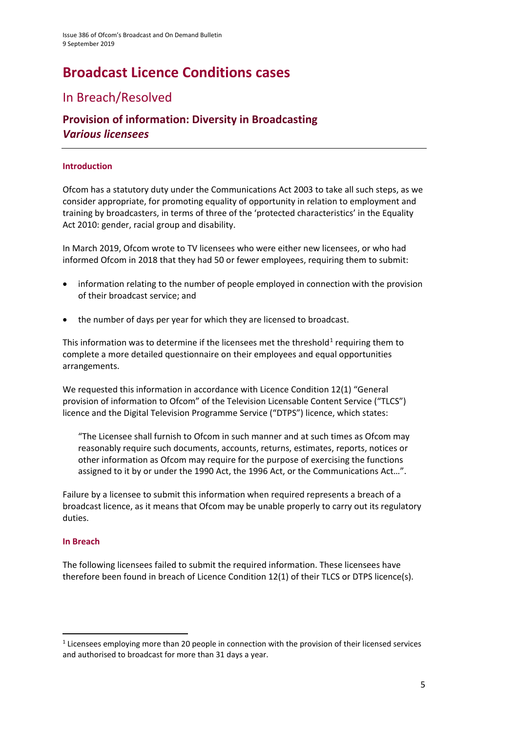# **Broadcast Licence Conditions cases**

### In Breach/Resolved

### **Provision of information: Diversity in Broadcasting**  *Various licensees*

#### **Introduction**

Ofcom has a statutory duty under the Communications Act 2003 to take all such steps, as we consider appropriate, for promoting equality of opportunity in relation to employment and training by broadcasters, in terms of three of the 'protected characteristics' in the Equality Act 2010: gender, racial group and disability.

In March 2019, Ofcom wrote to TV licensees who were either new licensees, or who had informed Ofcom in 2018 that they had 50 or fewer employees, requiring them to submit:

- information relating to the number of people employed in connection with the provision of their broadcast service; and
- the number of days per year for which they are licensed to broadcast.

This information was to determine if the licensees met the threshold<sup>[1](#page-4-0)</sup> requiring them to complete a more detailed questionnaire on their employees and equal opportunities arrangements.

We requested this information in accordance with Licence Condition 12(1) "General provision of information to Ofcom" of the Television Licensable Content Service ("TLCS") licence and the Digital Television Programme Service ("DTPS") licence, which states:

"The Licensee shall furnish to Ofcom in such manner and at such times as Ofcom may reasonably require such documents, accounts, returns, estimates, reports, notices or other information as Ofcom may require for the purpose of exercising the functions assigned to it by or under the 1990 Act, the 1996 Act, or the Communications Act…".

Failure by a licensee to submit this information when required represents a breach of a broadcast licence, as it means that Ofcom may be unable properly to carry out its regulatory duties.

#### **In Breach**

The following licensees failed to submit the required information. These licensees have therefore been found in breach of Licence Condition 12(1) of their TLCS or DTPS licence(s).

<span id="page-4-0"></span><sup>&</sup>lt;sup>1</sup> Licensees employing more than 20 people in connection with the provision of their licensed services and authorised to broadcast for more than 31 days a year.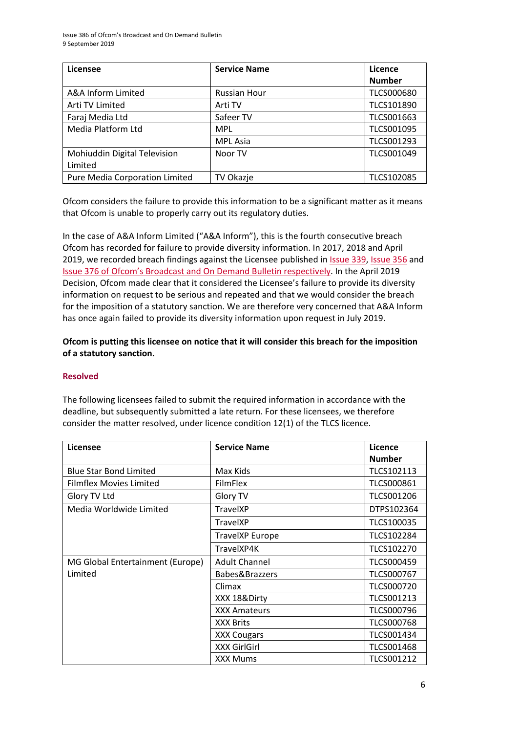| Licensee                       | <b>Service Name</b> | Licence           |
|--------------------------------|---------------------|-------------------|
|                                |                     | <b>Number</b>     |
| A&A Inform Limited             | <b>Russian Hour</b> | <b>TLCS000680</b> |
| Arti TV Limited                | Arti TV             | TLCS101890        |
| Faraj Media Ltd                | Safeer TV           | TLCS001663        |
| Media Platform Ltd             | <b>MPL</b>          | TLCS001095        |
|                                | <b>MPL Asia</b>     | TLCS001293        |
| Mohiuddin Digital Television   | Noor TV             | TLCS001049        |
| Limited                        |                     |                   |
| Pure Media Corporation Limited | <b>TV Okazje</b>    | TLCS102085        |

Ofcom considers the failure to provide this information to be a significant matter as it means that Ofcom is unable to properly carry out its regulatory duties.

In the case of A&A Inform Limited ("A&A Inform"), this is the fourth consecutive breach Ofcom has recorded for failure to provide diversity information. In 2017, 2018 and April 2019, we recorded breach findings against the Licensee published in [Issue 339,](https://www.ofcom.org.uk/__data/assets/pdf_file/0024/107268/Issue-339-of-Ofcoms-Broadcast-and-On-Demand-Bulletin.pdf) [Issue 356](https://www.ofcom.org.uk/__data/assets/pdf_file/0017/115046/issue-356-broadcast-on-demand-bulletin.pdf) and [Issue 376 of Ofcom's Broadcast and On Demand Bulletin respectively.](https://www.ofcom.org.uk/__data/assets/pdf_file/0024/143934/issue-376-broadcast-on-demand-bulletin.pdf) In the April 2019 Decision, Ofcom made clear that it considered the Licensee's failure to provide its diversity information on request to be serious and repeated and that we would consider the breach for the imposition of a statutory sanction. We are therefore very concerned that A&A Inform has once again failed to provide its diversity information upon request in July 2019.

**Ofcom is putting this licensee on notice that it will consider this breach for the imposition of a statutory sanction.** 

#### **Resolved**

The following licensees failed to submit the required information in accordance with the deadline, but subsequently submitted a late return. For these licensees, we therefore consider the matter resolved, under licence condition 12(1) of the TLCS licence.

| Licensee                         | <b>Service Name</b>    | Licence           |
|----------------------------------|------------------------|-------------------|
|                                  |                        | <b>Number</b>     |
| <b>Blue Star Bond Limited</b>    | Max Kids               | TLCS102113        |
| Filmflex Movies Limited          | <b>FilmFlex</b>        | TLCS000861        |
| Glory TV Ltd                     | Glory TV               | TLCS001206        |
| Media Worldwide Limited          | <b>TravelXP</b>        | DTPS102364        |
|                                  | <b>TravelXP</b>        | TLCS100035        |
|                                  | <b>TravelXP Europe</b> | TLCS102284        |
|                                  | TravelXP4K             | TLCS102270        |
| MG Global Entertainment (Europe) | <b>Adult Channel</b>   | <b>TLCS000459</b> |
| Limited                          | Babes&Brazzers         | <b>TLCS000767</b> |
|                                  | Climax                 | <b>TLCS000720</b> |
|                                  | XXX 18&Dirty           | TLCS001213        |
|                                  | <b>XXX Amateurs</b>    | <b>TLCS000796</b> |
|                                  | <b>XXX Brits</b>       | <b>TLCS000768</b> |
|                                  | <b>XXX Cougars</b>     | TLCS001434        |
|                                  | <b>XXX GirlGirl</b>    | <b>TLCS001468</b> |
|                                  | <b>XXX Mums</b>        | <b>TLCS001212</b> |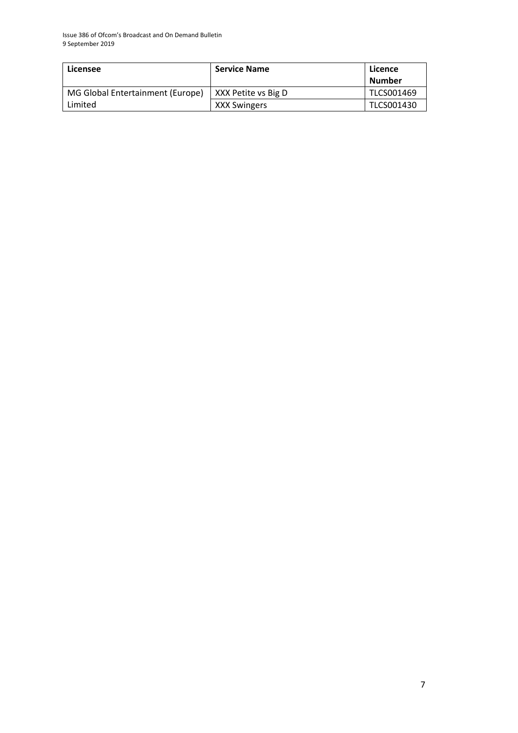| Licensee                         | <b>Service Name</b> | Licence<br>Number |
|----------------------------------|---------------------|-------------------|
| MG Global Entertainment (Europe) | XXX Petite vs Big D | TLCS001469        |
| Limited                          | <b>XXX Swingers</b> | TLCS001430        |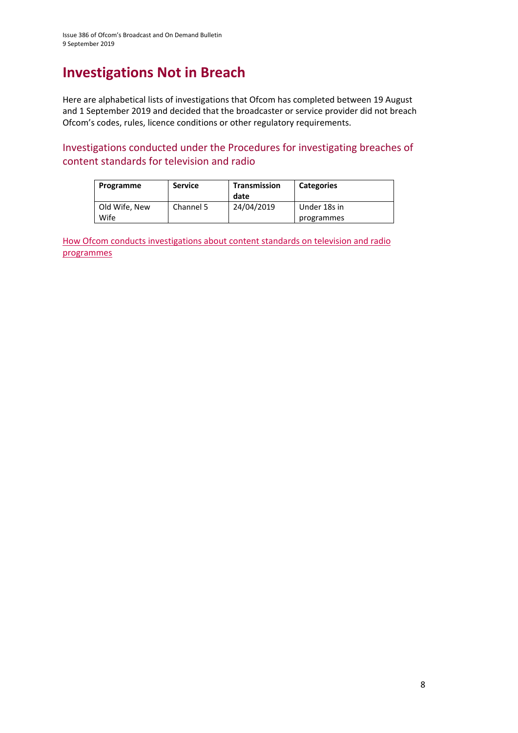### **Investigations Not in Breach**

Here are alphabetical lists of investigations that Ofcom has completed between 19 August and 1 September 2019 and decided that the broadcaster or service provider did not breach Ofcom's codes, rules, licence conditions or other regulatory requirements.

Investigations conducted under the Procedures for investigating breaches of content standards for television and radio

| Programme     | <b>Service</b> | Transmission<br>date | <b>Categories</b> |
|---------------|----------------|----------------------|-------------------|
| Old Wife, New | Channel 5      | 24/04/2019           | Under 18s in      |
| Wife          |                |                      | programmes        |

How Ofcom conducts investigations about content standards on television and radio [programmes](https://www.ofcom.org.uk/__data/assets/pdf_file/0020/55109/breaches-content-standards.pdf)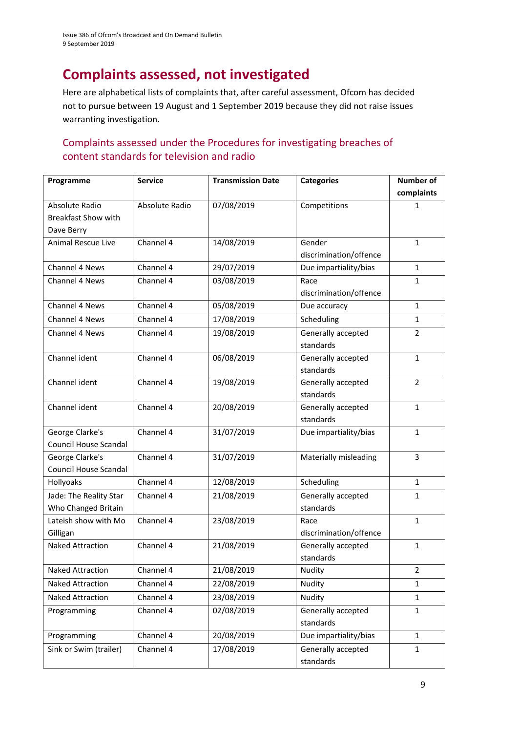### **Complaints assessed, not investigated**

Here are alphabetical lists of complaints that, after careful assessment, Ofcom has decided not to pursue between 19 August and 1 September 2019 because they did not raise issues warranting investigation.

#### Complaints assessed under the Procedures for investigating breaches of content standards for television and radio

| Programme                  | <b>Service</b> | <b>Transmission Date</b> | <b>Categories</b>               | <b>Number of</b> |
|----------------------------|----------------|--------------------------|---------------------------------|------------------|
|                            |                |                          |                                 | complaints       |
| Absolute Radio             | Absolute Radio | 07/08/2019               | Competitions                    | 1                |
| <b>Breakfast Show with</b> |                |                          |                                 |                  |
| Dave Berry                 |                |                          |                                 |                  |
| Animal Rescue Live         | Channel 4      | 14/08/2019               | Gender                          | $\mathbf{1}$     |
|                            |                |                          | discrimination/offence          |                  |
| Channel 4 News             | Channel 4      | 29/07/2019               | Due impartiality/bias           | $\mathbf{1}$     |
| Channel 4 News             | Channel 4      | 03/08/2019               | Race                            | 1                |
|                            |                |                          | discrimination/offence          |                  |
| Channel 4 News             | Channel 4      | 05/08/2019               | Due accuracy                    | $\mathbf{1}$     |
| Channel 4 News             | Channel 4      | 17/08/2019               | Scheduling                      | $\mathbf{1}$     |
| Channel 4 News             | Channel 4      | 19/08/2019               | Generally accepted              | $\overline{2}$   |
|                            |                |                          | standards                       |                  |
| Channel ident              | Channel 4      | 06/08/2019               | Generally accepted              | $\mathbf{1}$     |
|                            |                |                          | standards                       |                  |
| Channel ident              | Channel 4      | 19/08/2019               | Generally accepted              | $\overline{2}$   |
|                            |                |                          | standards                       |                  |
| Channel ident              | Channel 4      | 20/08/2019               | Generally accepted              | $\mathbf{1}$     |
|                            |                |                          | standards                       |                  |
| George Clarke's            | Channel 4      | 31/07/2019               | Due impartiality/bias           | $\mathbf{1}$     |
| Council House Scandal      |                |                          |                                 |                  |
| George Clarke's            | Channel 4      | 31/07/2019               | Materially misleading           | 3                |
| Council House Scandal      |                |                          |                                 |                  |
| Hollyoaks                  | Channel 4      | 12/08/2019               | Scheduling                      | $\mathbf{1}$     |
| Jade: The Reality Star     | Channel 4      | 21/08/2019               | Generally accepted              | 1                |
| Who Changed Britain        |                |                          | standards                       |                  |
| Lateish show with Mo       | Channel 4      | 23/08/2019               | Race                            | $\mathbf{1}$     |
| Gilligan                   | Channel 4      |                          | discrimination/offence          |                  |
| <b>Naked Attraction</b>    |                | 21/08/2019               | Generally accepted<br>standards | $\mathbf{1}$     |
| Naked Attraction           | Channel 4      | 21/08/2019               | Nudity                          | 2                |
| Naked Attraction           | Channel 4      | 22/08/2019               | Nudity                          |                  |
|                            |                |                          |                                 | 1                |
| Naked Attraction           | Channel 4      | 23/08/2019               | Nudity                          | $\mathbf{1}$     |
| Programming                | Channel 4      | 02/08/2019               | Generally accepted              | $\mathbf{1}$     |
|                            |                |                          | standards                       |                  |
| Programming                | Channel 4      | 20/08/2019               | Due impartiality/bias           | $\mathbf{1}$     |
| Sink or Swim (trailer)     | Channel 4      | 17/08/2019               | Generally accepted              | $\mathbf{1}$     |
|                            |                |                          | standards                       |                  |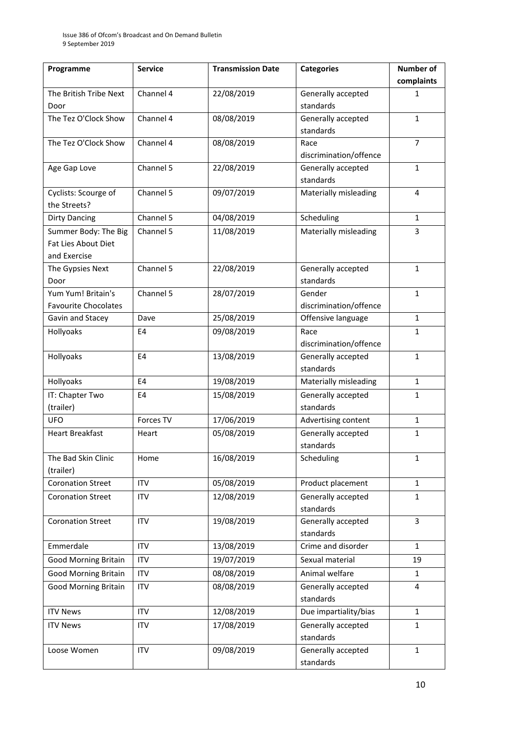| Programme                   | <b>Service</b> | <b>Transmission Date</b> | <b>Categories</b>      | <b>Number of</b> |
|-----------------------------|----------------|--------------------------|------------------------|------------------|
|                             |                |                          |                        | complaints       |
| The British Tribe Next      | Channel 4      | 22/08/2019               | Generally accepted     | 1                |
| Door                        |                |                          | standards              |                  |
| The Tez O'Clock Show        | Channel 4      | 08/08/2019               | Generally accepted     | $\mathbf{1}$     |
|                             |                |                          | standards              |                  |
| The Tez O'Clock Show        | Channel 4      | 08/08/2019               | Race                   | $\overline{7}$   |
|                             |                |                          | discrimination/offence |                  |
| Age Gap Love                | Channel 5      | 22/08/2019               | Generally accepted     | $\mathbf{1}$     |
|                             |                |                          | standards              |                  |
| Cyclists: Scourge of        | Channel 5      | 09/07/2019               | Materially misleading  | 4                |
| the Streets?                |                |                          |                        |                  |
| <b>Dirty Dancing</b>        | Channel 5      | 04/08/2019               | Scheduling             | $\mathbf{1}$     |
| Summer Body: The Big        | Channel 5      | 11/08/2019               | Materially misleading  | 3                |
| Fat Lies About Diet         |                |                          |                        |                  |
| and Exercise                |                |                          |                        |                  |
| The Gypsies Next            | Channel 5      | 22/08/2019               | Generally accepted     | $\mathbf{1}$     |
| Door                        |                |                          | standards              |                  |
| Yum Yum! Britain's          | Channel 5      | 28/07/2019               | Gender                 | $\mathbf{1}$     |
| <b>Favourite Chocolates</b> |                |                          | discrimination/offence |                  |
| Gavin and Stacey            | Dave           | 25/08/2019               | Offensive language     | $\mathbf{1}$     |
| Hollyoaks                   | E4             | 09/08/2019               | Race                   | 1                |
|                             |                |                          | discrimination/offence |                  |
| Hollyoaks                   | E <sub>4</sub> | 13/08/2019               | Generally accepted     | $\mathbf{1}$     |
|                             |                |                          | standards              |                  |
| Hollyoaks                   | E <sub>4</sub> | 19/08/2019               | Materially misleading  | $\mathbf{1}$     |
| IT: Chapter Two             | E <sub>4</sub> | 15/08/2019               | Generally accepted     | $\mathbf{1}$     |
| (trailer)                   |                |                          | standards              |                  |
| <b>UFO</b>                  | Forces TV      | 17/06/2019               | Advertising content    | $\mathbf{1}$     |
| <b>Heart Breakfast</b>      | Heart          | 05/08/2019               | Generally accepted     | $\mathbf{1}$     |
|                             |                |                          | standards              |                  |
| The Bad Skin Clinic         | Home           | 16/08/2019               | Scheduling             | 1                |
| (trailer)                   |                |                          |                        |                  |
| <b>Coronation Street</b>    | <b>ITV</b>     | 05/08/2019               | Product placement      | $\mathbf{1}$     |
| <b>Coronation Street</b>    | <b>ITV</b>     | 12/08/2019               | Generally accepted     | $\mathbf{1}$     |
|                             |                |                          | standards              |                  |
| <b>Coronation Street</b>    | <b>ITV</b>     | 19/08/2019               | Generally accepted     | $\overline{3}$   |
|                             |                |                          | standards              |                  |
| Emmerdale                   | <b>ITV</b>     | 13/08/2019               | Crime and disorder     | $\mathbf{1}$     |
| <b>Good Morning Britain</b> | <b>ITV</b>     | 19/07/2019               | Sexual material        | 19               |
| <b>Good Morning Britain</b> | <b>ITV</b>     | 08/08/2019               | Animal welfare         | $\mathbf{1}$     |
| <b>Good Morning Britain</b> | <b>ITV</b>     | 08/08/2019               | Generally accepted     | 4                |
|                             |                |                          | standards              |                  |
| <b>ITV News</b>             | <b>ITV</b>     | 12/08/2019               | Due impartiality/bias  | $\mathbf{1}$     |
| <b>ITV News</b>             | <b>ITV</b>     | 17/08/2019               | Generally accepted     | $\mathbf{1}$     |
|                             |                |                          | standards              |                  |
| Loose Women                 | <b>ITV</b>     | 09/08/2019               | Generally accepted     | $\mathbf{1}$     |
|                             |                |                          | standards              |                  |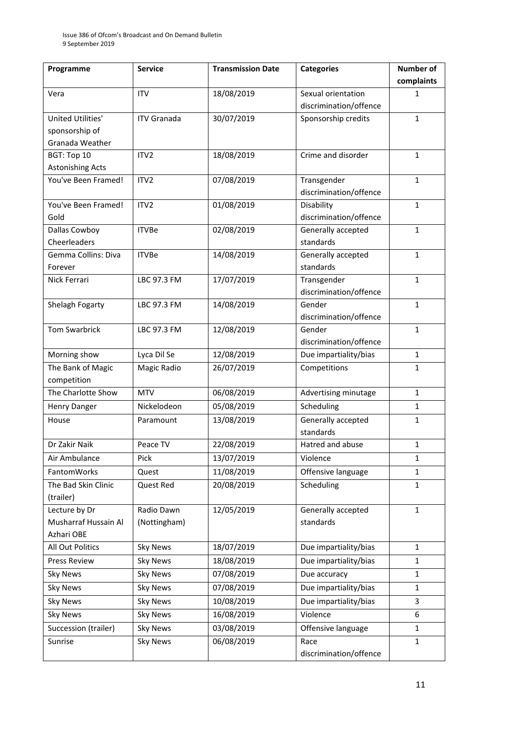| Programme               | <b>Service</b>     | <b>Transmission Date</b> | <b>Categories</b>               | <b>Number of</b> |
|-------------------------|--------------------|--------------------------|---------------------------------|------------------|
|                         |                    |                          |                                 | complaints       |
| Vera                    | <b>ITV</b>         | 18/08/2019               | Sexual orientation              | 1                |
|                         |                    |                          | discrimination/offence          |                  |
| United Utilities'       | <b>ITV Granada</b> | 30/07/2019               | Sponsorship credits             | $\mathbf{1}$     |
| sponsorship of          |                    |                          |                                 |                  |
| Granada Weather         |                    |                          |                                 |                  |
| BGT: Top 10             | ITV <sub>2</sub>   | 18/08/2019               | Crime and disorder              | $\mathbf{1}$     |
| <b>Astonishing Acts</b> |                    |                          |                                 |                  |
| You've Been Framed!     | ITV <sub>2</sub>   | 07/08/2019               | Transgender                     | $\mathbf{1}$     |
|                         |                    |                          | discrimination/offence          |                  |
| You've Been Framed!     | ITV <sub>2</sub>   | 01/08/2019               | Disability                      | $\mathbf{1}$     |
| Gold                    |                    |                          | discrimination/offence          |                  |
| Dallas Cowboy           | <b>ITVBe</b>       | 02/08/2019               | Generally accepted              | $\mathbf{1}$     |
| Cheerleaders            |                    |                          | standards                       |                  |
| Gemma Collins: Diva     | <b>ITVBe</b>       | 14/08/2019               | Generally accepted              | $\mathbf{1}$     |
| Forever                 |                    |                          | standards                       |                  |
| Nick Ferrari            | LBC 97.3 FM        | 17/07/2019               | Transgender                     | $\mathbf{1}$     |
|                         |                    |                          | discrimination/offence          |                  |
| Shelagh Fogarty         | LBC 97.3 FM        | 14/08/2019               | Gender                          | $\mathbf{1}$     |
|                         |                    |                          | discrimination/offence          |                  |
| <b>Tom Swarbrick</b>    | LBC 97.3 FM        | 12/08/2019               | Gender                          | $\mathbf{1}$     |
|                         |                    |                          | discrimination/offence          |                  |
| Morning show            | Lyca Dil Se        | 12/08/2019               | Due impartiality/bias           | $\mathbf{1}$     |
| The Bank of Magic       | Magic Radio        | 26/07/2019               | Competitions                    | 1                |
| competition             |                    |                          |                                 |                  |
| The Charlotte Show      | <b>MTV</b>         | 06/08/2019               | Advertising minutage            | $\mathbf{1}$     |
| <b>Henry Danger</b>     | Nickelodeon        | 05/08/2019               | Scheduling                      | $\mathbf{1}$     |
| House                   | Paramount          | 13/08/2019               | Generally accepted<br>standards | $\mathbf{1}$     |
| Dr Zakir Naik           | Peace TV           | 22/08/2019               | Hatred and abuse                | $\mathbf{1}$     |
| Air Ambulance           | Pick               | 13/07/2019               | Violence                        | 1                |
| <b>FantomWorks</b>      | Quest              | 11/08/2019               | Offensive language              | 1                |
| The Bad Skin Clinic     | Quest Red          | 20/08/2019               | Scheduling                      | $\mathbf{1}$     |
| (trailer)               |                    |                          |                                 |                  |
| Lecture by Dr           | Radio Dawn         | 12/05/2019               | Generally accepted              | $\mathbf{1}$     |
| Musharraf Hussain Al    | (Nottingham)       |                          | standards                       |                  |
| Azhari OBE              |                    |                          |                                 |                  |
| All Out Politics        | <b>Sky News</b>    | 18/07/2019               | Due impartiality/bias           | $\mathbf{1}$     |
| <b>Press Review</b>     | <b>Sky News</b>    | 18/08/2019               | Due impartiality/bias           | $\mathbf{1}$     |
| <b>Sky News</b>         | <b>Sky News</b>    | 07/08/2019               | Due accuracy                    | $\mathbf{1}$     |
| <b>Sky News</b>         | <b>Sky News</b>    | 07/08/2019               | Due impartiality/bias           | 1                |
|                         | <b>Sky News</b>    | 10/08/2019               | Due impartiality/bias           | 3                |
| <b>Sky News</b>         |                    |                          | Violence                        |                  |
| <b>Sky News</b>         | <b>Sky News</b>    | 16/08/2019               |                                 | 6                |
| Succession (trailer)    | <b>Sky News</b>    | 03/08/2019               | Offensive language              | 1                |
| Sunrise                 | <b>Sky News</b>    | 06/08/2019               | Race                            | $\mathbf{1}$     |
|                         |                    |                          | discrimination/offence          |                  |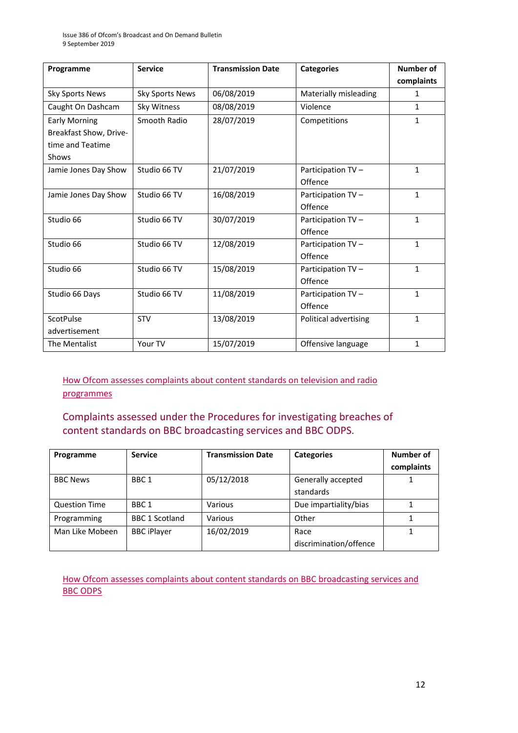| Programme                                                                   | <b>Service</b>         | <b>Transmission Date</b> | <b>Categories</b>            | <b>Number of</b> |
|-----------------------------------------------------------------------------|------------------------|--------------------------|------------------------------|------------------|
|                                                                             |                        |                          |                              | complaints       |
| <b>Sky Sports News</b>                                                      | <b>Sky Sports News</b> | 06/08/2019               | Materially misleading        | 1                |
| Caught On Dashcam                                                           | Sky Witness            | 08/08/2019               | Violence                     | 1                |
| <b>Early Morning</b><br>Breakfast Show, Drive-<br>time and Teatime<br>Shows | Smooth Radio           | 28/07/2019               | Competitions                 | $\mathbf{1}$     |
| Jamie Jones Day Show                                                        | Studio 66 TV           | 21/07/2019               | Participation TV-<br>Offence | $\mathbf{1}$     |
| Jamie Jones Day Show                                                        | Studio 66 TV           | 16/08/2019               | Participation TV-<br>Offence | 1                |
| Studio 66                                                                   | Studio 66 TV           | 30/07/2019               | Participation TV-<br>Offence | $\mathbf{1}$     |
| Studio 66                                                                   | Studio 66 TV           | 12/08/2019               | Participation TV-<br>Offence | $\mathbf{1}$     |
| Studio 66                                                                   | Studio 66 TV           | 15/08/2019               | Participation TV-<br>Offence | $\mathbf{1}$     |
| Studio 66 Days                                                              | Studio 66 TV           | 11/08/2019               | Participation TV-<br>Offence | $\mathbf{1}$     |
| <b>ScotPulse</b><br>advertisement                                           | <b>STV</b>             | 13/08/2019               | Political advertising        | $\mathbf{1}$     |
| The Mentalist                                                               | Your TV                | 15/07/2019               | Offensive language           | 1                |

#### [How Ofcom assesses complaints about content standards on television and radio](https://www.ofcom.org.uk/__data/assets/pdf_file/0020/55109/breaches-content-standards.pdf)  [programmes](https://www.ofcom.org.uk/__data/assets/pdf_file/0020/55109/breaches-content-standards.pdf)

#### Complaints assessed under the Procedures for investigating breaches of content standards on BBC broadcasting services and BBC ODPS.

| Programme            | <b>Service</b>        | <b>Transmission Date</b> | <b>Categories</b>               | Number of<br>complaints |
|----------------------|-----------------------|--------------------------|---------------------------------|-------------------------|
| <b>BBC News</b>      | BBC 1                 | 05/12/2018               | Generally accepted<br>standards |                         |
| <b>Question Time</b> | BBC 1                 | Various                  | Due impartiality/bias           |                         |
| Programming          | <b>BBC 1 Scotland</b> | Various                  | Other                           |                         |
| Man Like Mobeen      | <b>BBC iPlayer</b>    | 16/02/2019               | Race<br>discrimination/offence  |                         |

[How Ofcom assesses complaints about content standards](https://www.ofcom.org.uk/__data/assets/pdf_file/0002/100100/Procedures-for-investigating-breaches-of-content-standards-on-BBC-broadcasting-services-and-BBC-on-demand-programme-services.pdf) on BBC broadcasting services and [BBC ODPS](https://www.ofcom.org.uk/__data/assets/pdf_file/0002/100100/Procedures-for-investigating-breaches-of-content-standards-on-BBC-broadcasting-services-and-BBC-on-demand-programme-services.pdf)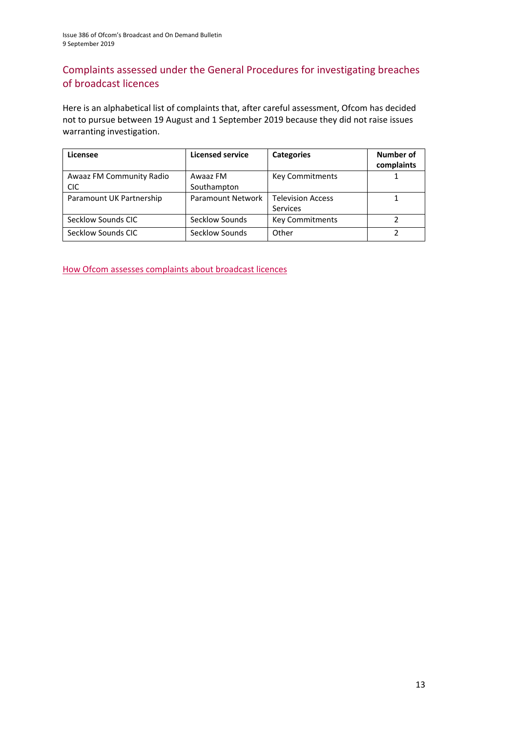#### Complaints assessed under the General Procedures for investigating breaches of broadcast licences

Here is an alphabetical list of complaints that, after careful assessment, Ofcom has decided not to pursue between 19 August and 1 September 2019 because they did not raise issues warranting investigation.

| Licensee                 | <b>Licensed service</b>  | <b>Categories</b>        | Number of  |
|--------------------------|--------------------------|--------------------------|------------|
|                          |                          |                          | complaints |
| Awaaz FM Community Radio | Awaaz FM                 | <b>Key Commitments</b>   |            |
| <b>CIC</b>               | Southampton              |                          |            |
| Paramount UK Partnership | <b>Paramount Network</b> | <b>Television Access</b> |            |
|                          |                          | <b>Services</b>          |            |
| Secklow Sounds CIC       | Secklow Sounds           | <b>Key Commitments</b>   |            |
| Secklow Sounds CIC       | Secklow Sounds           | Other                    |            |

[How Ofcom assesses complaints about broadcast licences](https://www.ofcom.org.uk/__data/assets/pdf_file/0019/31942/general-procedures.pdf)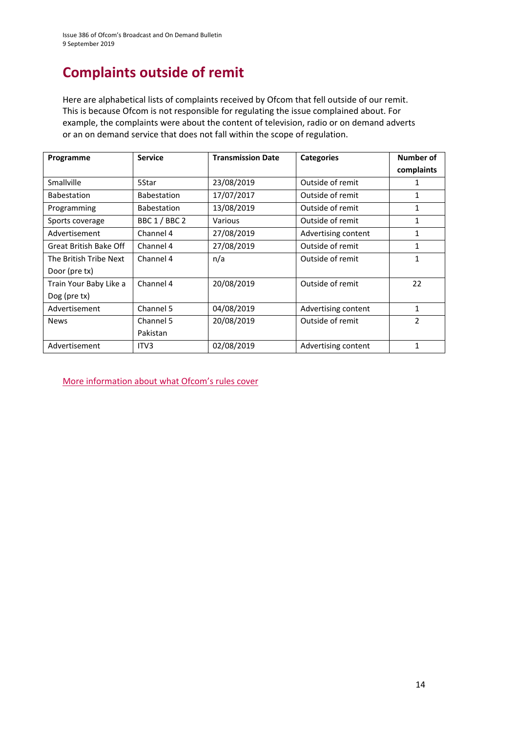# **Complaints outside of remit**

Here are alphabetical lists of complaints received by Ofcom that fell outside of our remit. This is because Ofcom is not responsible for regulating the issue complained about. For example, the complaints were about the content of television, radio or on demand adverts or an on demand service that does not fall within the scope of regulation.

| Programme              | <b>Service</b>     | <b>Transmission Date</b> | <b>Categories</b>   | Number of      |
|------------------------|--------------------|--------------------------|---------------------|----------------|
|                        |                    |                          |                     | complaints     |
| Smallville             | 5Star              | 23/08/2019               | Outside of remit    | 1              |
| <b>Babestation</b>     | <b>Babestation</b> | 17/07/2017               | Outside of remit    | 1              |
| Programming            | <b>Babestation</b> | 13/08/2019               | Outside of remit    | 1              |
| Sports coverage        | BBC 1 / BBC 2      | Various                  | Outside of remit    | 1              |
| Advertisement          | Channel 4          | 27/08/2019               | Advertising content | 1              |
| Great British Bake Off | Channel 4          | 27/08/2019               | Outside of remit    | 1              |
| The British Tribe Next | Channel 4          | n/a                      | Outside of remit    | 1              |
| Door (pre tx)          |                    |                          |                     |                |
| Train Your Baby Like a | Channel 4          | 20/08/2019               | Outside of remit    | 22             |
| Dog (pre tx)           |                    |                          |                     |                |
| Advertisement          | Channel 5          | 04/08/2019               | Advertising content | 1              |
| <b>News</b>            | Channel 5          | 20/08/2019               | Outside of remit    | $\overline{2}$ |
|                        | Pakistan           |                          |                     |                |
| Advertisement          | ITV <sub>3</sub>   | 02/08/2019               | Advertising content | $\mathbf{1}$   |

[More information about what Ofcom's rules cover](https://www.ofcom.org.uk/tv-radio-and-on-demand/how-to-report-a-complaint/what-does-ofcom-cover)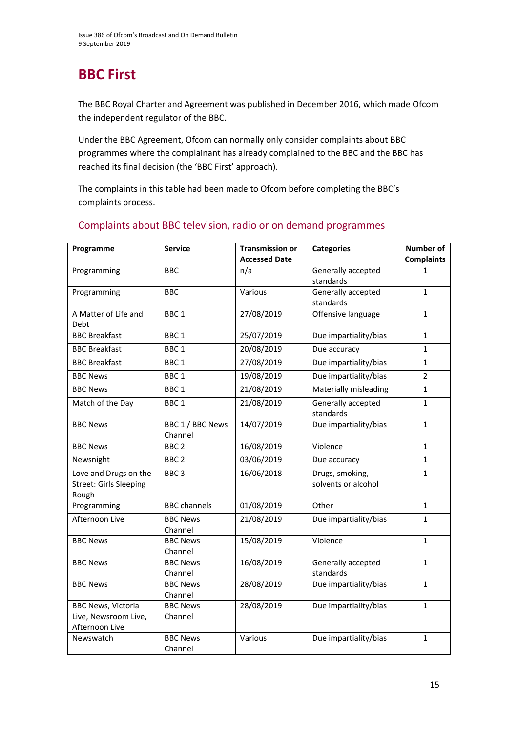# **BBC First**

The BBC Royal Charter and Agreement was published in December 2016, which made Ofcom the independent regulator of the BBC.

Under the BBC Agreement, Ofcom can normally only consider complaints about BBC programmes where the complainant has already complained to the BBC and the BBC has reached its final decision (the 'BBC First' approach).

The complaints in this table had been made to Ofcom before completing the BBC's complaints process.

| Programme                                                           | <b>Service</b>              | <b>Transmission or</b> | <b>Categories</b>                      | Number of         |
|---------------------------------------------------------------------|-----------------------------|------------------------|----------------------------------------|-------------------|
|                                                                     |                             | <b>Accessed Date</b>   |                                        | <b>Complaints</b> |
| Programming                                                         | <b>BBC</b>                  | n/a                    | Generally accepted<br>standards        | 1                 |
| Programming                                                         | <b>BBC</b>                  | Various                | Generally accepted<br>standards        | $\mathbf{1}$      |
| A Matter of Life and<br>Debt                                        | BBC <sub>1</sub>            | 27/08/2019             | Offensive language                     | 1                 |
| <b>BBC Breakfast</b>                                                | BBC <sub>1</sub>            | 25/07/2019             | Due impartiality/bias                  | $\mathbf{1}$      |
| <b>BBC Breakfast</b>                                                | BBC <sub>1</sub>            | 20/08/2019             | Due accuracy                           | $\mathbf{1}$      |
| <b>BBC Breakfast</b>                                                | BBC <sub>1</sub>            | 27/08/2019             | Due impartiality/bias                  | $\mathbf{1}$      |
| <b>BBC News</b>                                                     | BBC <sub>1</sub>            | 19/08/2019             | Due impartiality/bias                  | $\overline{2}$    |
| <b>BBC News</b>                                                     | BBC <sub>1</sub>            | 21/08/2019             | Materially misleading                  | $\mathbf{1}$      |
| Match of the Day                                                    | BBC <sub>1</sub>            | 21/08/2019             | Generally accepted<br>standards        | $\mathbf{1}$      |
| <b>BBC News</b>                                                     | BBC 1 / BBC News<br>Channel | 14/07/2019             | Due impartiality/bias                  | $\mathbf{1}$      |
| <b>BBC News</b>                                                     | BBC <sub>2</sub>            | 16/08/2019             | Violence                               | $\mathbf{1}$      |
| Newsnight                                                           | BBC <sub>2</sub>            | 03/06/2019             | Due accuracy                           | $\mathbf{1}$      |
| Love and Drugs on the<br><b>Street: Girls Sleeping</b><br>Rough     | BBC <sub>3</sub>            | 16/06/2018             | Drugs, smoking,<br>solvents or alcohol | 1                 |
| Programming                                                         | <b>BBC</b> channels         | 01/08/2019             | Other                                  | $\mathbf{1}$      |
| Afternoon Live                                                      | <b>BBC News</b><br>Channel  | 21/08/2019             | Due impartiality/bias                  | $\mathbf{1}$      |
| <b>BBC News</b>                                                     | <b>BBC News</b><br>Channel  | 15/08/2019             | Violence                               | $\mathbf{1}$      |
| <b>BBC News</b>                                                     | <b>BBC News</b><br>Channel  | 16/08/2019             | Generally accepted<br>standards        | $\mathbf{1}$      |
| <b>BBC News</b>                                                     | <b>BBC News</b><br>Channel  | 28/08/2019             | Due impartiality/bias                  | $\mathbf{1}$      |
| <b>BBC News, Victoria</b><br>Live, Newsroom Live,<br>Afternoon Live | <b>BBC News</b><br>Channel  | 28/08/2019             | Due impartiality/bias                  | $\mathbf{1}$      |
| Newswatch                                                           | <b>BBC News</b><br>Channel  | Various                | Due impartiality/bias                  | 1                 |

#### Complaints about BBC television, radio or on demand programmes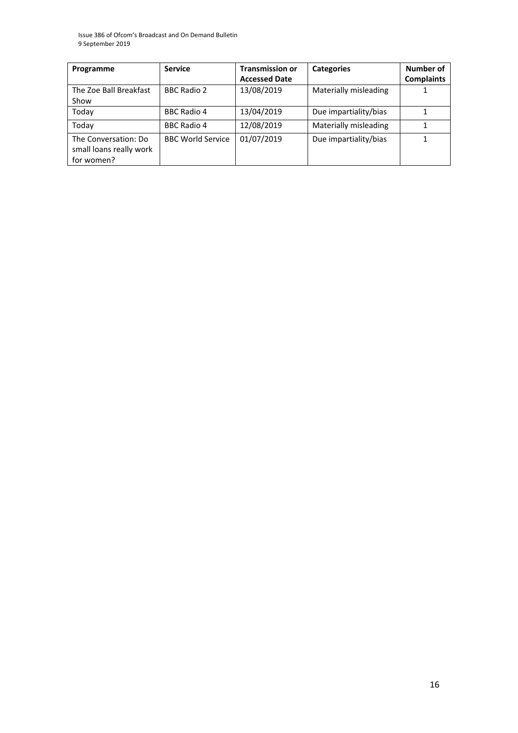Issue 386 of Ofcom's Broadcast and On Demand Bulletin 9 September 2019

| Programme                                                     | <b>Service</b>           | <b>Transmission or</b><br><b>Accessed Date</b> | <b>Categories</b>     | Number of<br><b>Complaints</b> |
|---------------------------------------------------------------|--------------------------|------------------------------------------------|-----------------------|--------------------------------|
| The Zoe Ball Breakfast<br>Show                                | <b>BBC Radio 2</b>       | 13/08/2019                                     | Materially misleading |                                |
| Today                                                         | <b>BBC Radio 4</b>       | 13/04/2019                                     | Due impartiality/bias |                                |
| Today                                                         | <b>BBC Radio 4</b>       | 12/08/2019                                     | Materially misleading |                                |
| The Conversation: Do<br>small loans really work<br>for women? | <b>BBC World Service</b> | 01/07/2019                                     | Due impartiality/bias |                                |